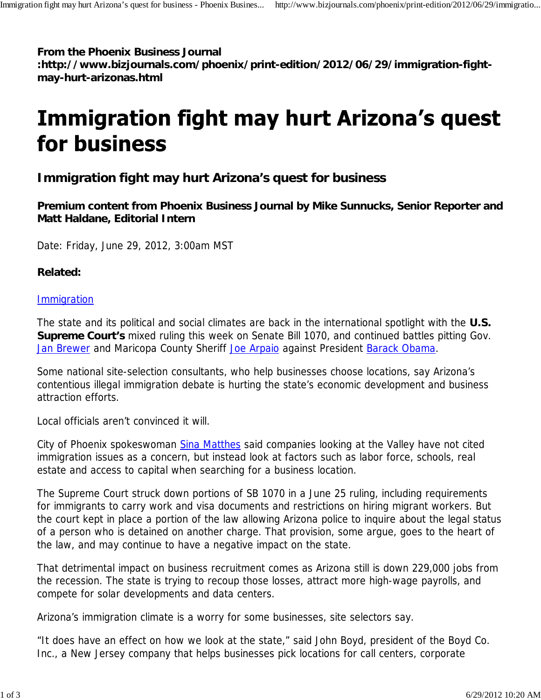**From the Phoenix Business Journal**

**:http://www.bizjournals.com/phoenix/print-edition/2012/06/29/immigration-fightmay-hurt-arizonas.html**

## **Immigration fight may hurt Arizona's quest** for business

## **Immigration fight may hurt Arizona's quest for business**

**Premium content from Phoenix Business Journal by Mike Sunnucks, Senior Reporter and Matt Haldane, Editorial Intern**

Date: Friday, June 29, 2012, 3:00am MST

## **Related:**

## **Immigration**

The state and its political and social climates are back in the international spotlight with the **U.S. Supreme Court's** mixed ruling this week on Senate Bill 1070, and continued battles pitting Gov. Jan Brewer and Maricopa County Sheriff Joe Arpaio against President Barack Obama.

Some national site-selection consultants, who help businesses choose locations, say Arizona's contentious illegal immigration debate is hurting the state's economic development and business attraction efforts.

Local officials aren't convinced it will.

City of Phoenix spokeswoman Sina Matthes said companies looking at the Valley have not cited immigration issues as a concern, but instead look at factors such as labor force, schools, real estate and access to capital when searching for a business location.

The Supreme Court struck down portions of SB 1070 in a June 25 ruling, including requirements for immigrants to carry work and visa documents and restrictions on hiring migrant workers. But the court kept in place a portion of the law allowing Arizona police to inquire about the legal status of a person who is detained on another charge. That provision, some argue, goes to the heart of the law, and may continue to have a negative impact on the state.

That detrimental impact on business recruitment comes as Arizona still is down 229,000 jobs from the recession. The state is trying to recoup those losses, attract more high-wage payrolls, and compete for solar developments and data centers.

Arizona's immigration climate is a worry for some businesses, site selectors say.

"It does have an effect on how we look at the state," said John Boyd, president of the Boyd Co. Inc., a New Jersey company that helps businesses pick locations for call centers, corporate